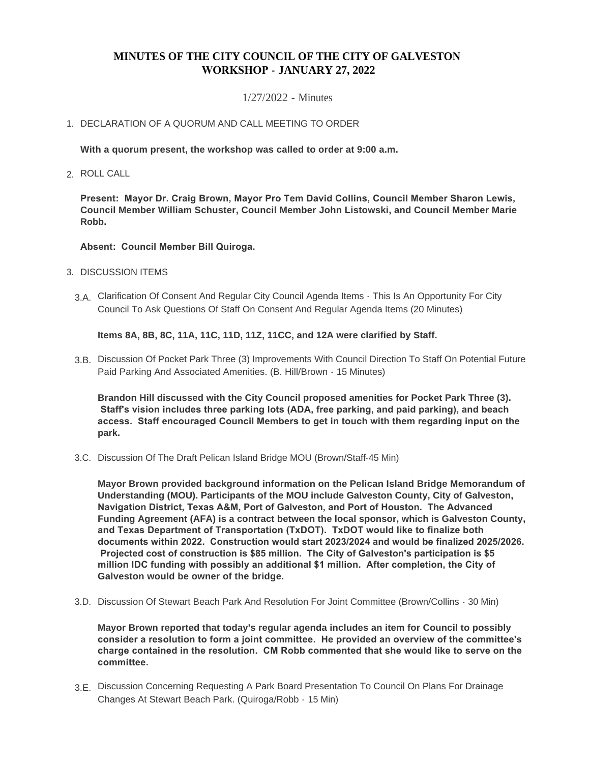# **MINUTES OF THE CITY COUNCIL OF THE CITY OF GALVESTON WORKSHOP - JANUARY 27, 2022**

## 1/27/2022 - Minutes

## 1. DECLARATION OF A QUORUM AND CALL MEETING TO ORDER

**With a quorum present, the workshop was called to order at 9:00 a.m.**

ROLL CALL 2.

**Present: Mayor Dr. Craig Brown, Mayor Pro Tem David Collins, Council Member Sharon Lewis, Council Member William Schuster, Council Member John Listowski, and Council Member Marie Robb.**

#### **Absent: Council Member Bill Quiroga.**

- 3. DISCUSSION ITEMS
	- Clarification Of Consent And Regular City Council Agenda Items This Is An Opportunity For City 3.A. Council To Ask Questions Of Staff On Consent And Regular Agenda Items (20 Minutes)

**Items 8A, 8B, 8C, 11A, 11C, 11D, 11Z, 11CC, and 12A were clarified by Staff.**

3.B. Discussion Of Pocket Park Three (3) Improvements With Council Direction To Staff On Potential Future Paid Parking And Associated Amenities. (B. Hill/Brown - 15 Minutes)

**Brandon Hill discussed with the City Council proposed amenities for Pocket Park Three (3). Staff's vision includes three parking lots (ADA, free parking, and paid parking), and beach access. Staff encouraged Council Members to get in touch with them regarding input on the park.**

3.C. Discussion Of The Draft Pelican Island Bridge MOU (Brown/Staff-45 Min)

**Mayor Brown provided background information on the Pelican Island Bridge Memorandum of Understanding (MOU). Participants of the MOU include Galveston County, City of Galveston, Navigation District, Texas A&M, Port of Galveston, and Port of Houston. The Advanced Funding Agreement (AFA) is a contract between the local sponsor, which is Galveston County, and Texas Department of Transportation (TxDOT). TxDOT would like to finalize both documents within 2022. Construction would start 2023/2024 and would be finalized 2025/2026. Projected cost of construction is \$85 million. The City of Galveston's participation is \$5 million IDC funding with possibly an additional \$1 million. After completion, the City of Galveston would be owner of the bridge.**

3.D. Discussion Of Stewart Beach Park And Resolution For Joint Committee (Brown/Collins - 30 Min)

**Mayor Brown reported that today's regular agenda includes an item for Council to possibly consider a resolution to form a joint committee. He provided an overview of the committee's charge contained in the resolution. CM Robb commented that she would like to serve on the committee.** 

3.E. Discussion Concerning Requesting A Park Board Presentation To Council On Plans For Drainage Changes At Stewart Beach Park. (Quiroga/Robb - 15 Min)